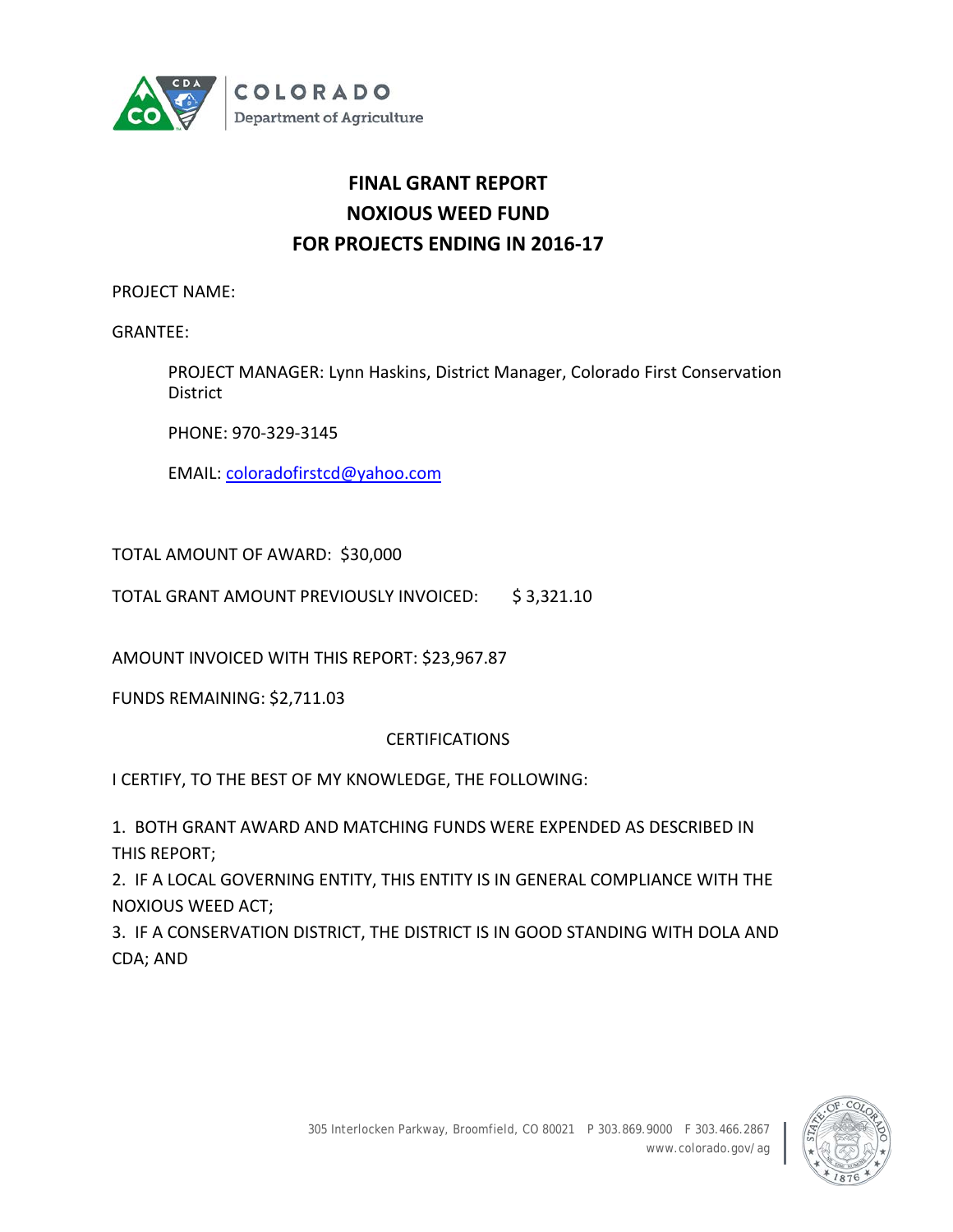

# **FINAL GRANT REPORT NOXIOUS WEED FUND FOR PROJECTS ENDING IN 2016-17**

PROJECT NAME:

GRANTEE:

PROJECT MANAGER: Lynn Haskins, District Manager, Colorado First Conservation District

PHONE: 970-329-3145

EMAIL: [coloradofirstcd@yahoo.com](mailto:coloradofirstcd@yahoo.com)

TOTAL AMOUNT OF AWARD: \$30,000

TOTAL GRANT AMOUNT PREVIOUSLY INVOICED: \$ 3,321.10

AMOUNT INVOICED WITH THIS REPORT: \$23,967.87

FUNDS REMAINING: \$2,711.03

## **CERTIFICATIONS**

I CERTIFY, TO THE BEST OF MY KNOWLEDGE, THE FOLLOWING:

1. BOTH GRANT AWARD AND MATCHING FUNDS WERE EXPENDED AS DESCRIBED IN THIS REPORT;

2. IF A LOCAL GOVERNING ENTITY, THIS ENTITY IS IN GENERAL COMPLIANCE WITH THE NOXIOUS WEED ACT;

3. IF A CONSERVATION DISTRICT, THE DISTRICT IS IN GOOD STANDING WITH DOLA AND CDA; AND

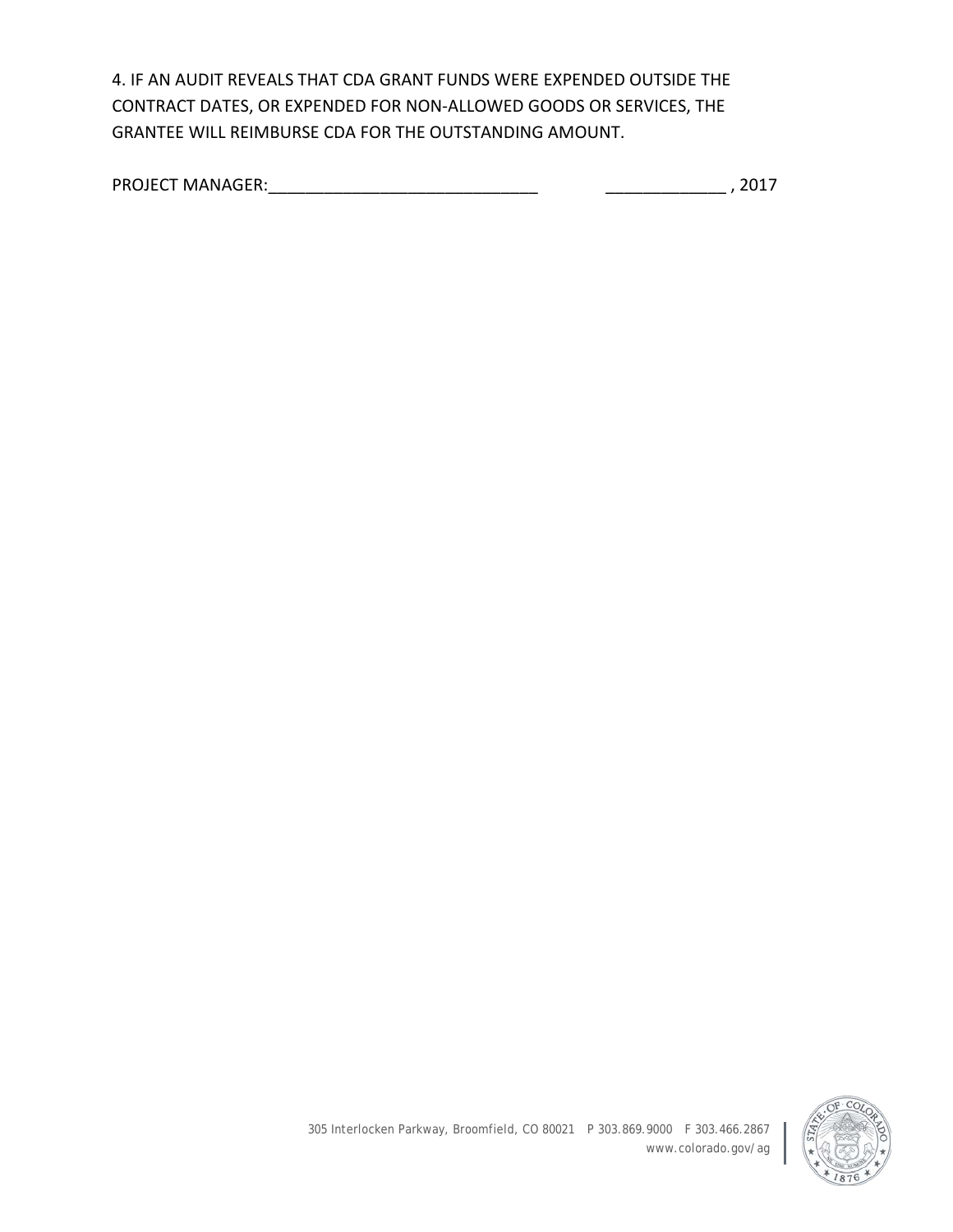4. IF AN AUDIT REVEALS THAT CDA GRANT FUNDS WERE EXPENDED OUTSIDE THE CONTRACT DATES, OR EXPENDED FOR NON-ALLOWED GOODS OR SERVICES, THE GRANTEE WILL REIMBURSE CDA FOR THE OUTSTANDING AMOUNT.

| <b>PROJECT MANAGER:</b> |  |
|-------------------------|--|
|-------------------------|--|

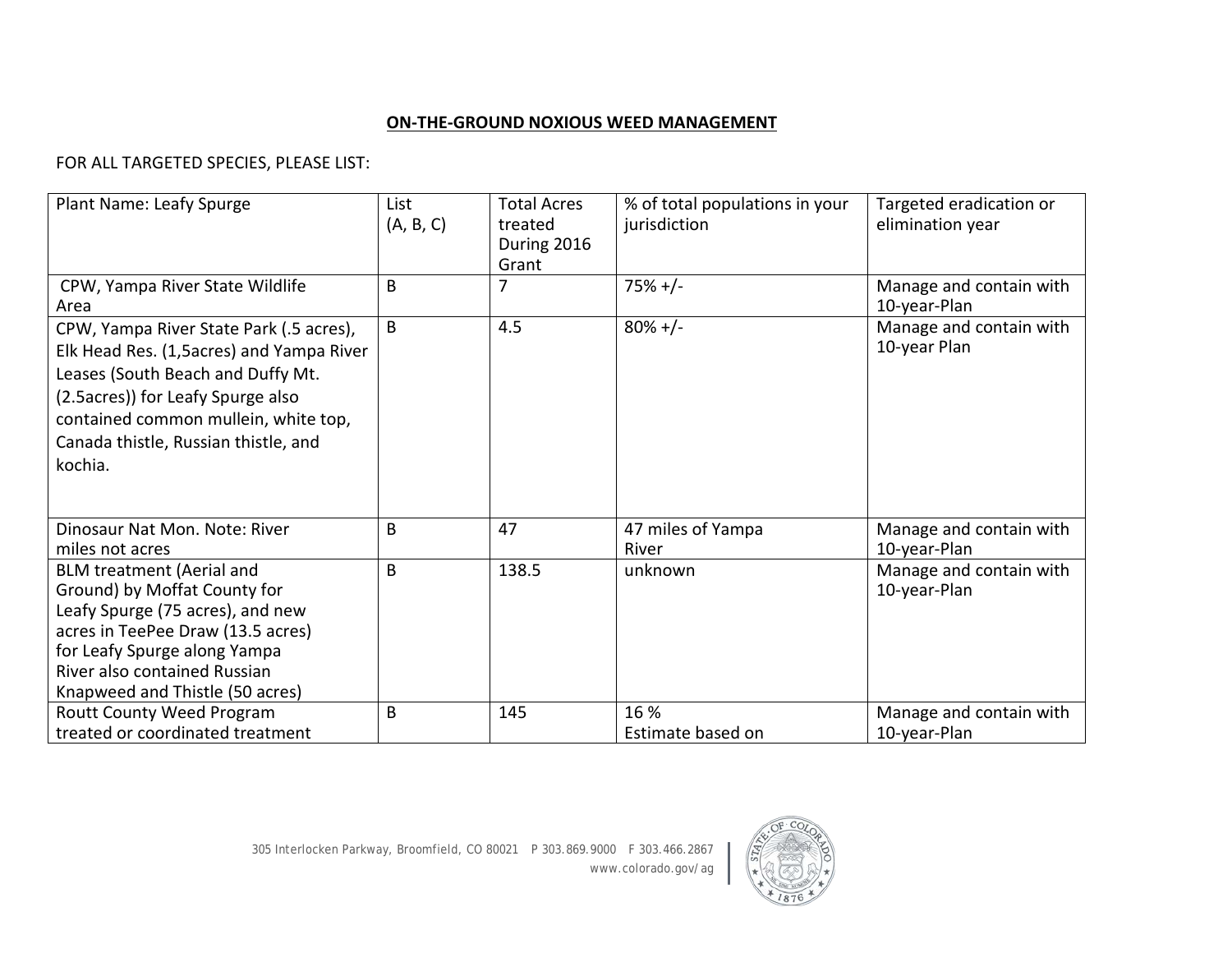## **ON-THE-GROUND NOXIOUS WEED MANAGEMENT**

# FOR ALL TARGETED SPECIES, PLEASE LIST:

| <b>Plant Name: Leafy Spurge</b>                                                                                                                                                                                                                           | List<br>(A, B, C) | <b>Total Acres</b><br>treated<br>During 2016<br>Grant | % of total populations in your<br>jurisdiction | Targeted eradication or<br>elimination year |
|-----------------------------------------------------------------------------------------------------------------------------------------------------------------------------------------------------------------------------------------------------------|-------------------|-------------------------------------------------------|------------------------------------------------|---------------------------------------------|
| CPW, Yampa River State Wildlife<br>Area                                                                                                                                                                                                                   | B                 |                                                       | $75%+/-$                                       | Manage and contain with<br>10-year-Plan     |
| CPW, Yampa River State Park (.5 acres),<br>Elk Head Res. (1,5acres) and Yampa River<br>Leases (South Beach and Duffy Mt.<br>(2.5 acres)) for Leafy Spurge also<br>contained common mullein, white top,<br>Canada thistle, Russian thistle, and<br>kochia. | B                 | 4.5                                                   | $80\% +/-$                                     | Manage and contain with<br>10-year Plan     |
| Dinosaur Nat Mon. Note: River<br>miles not acres                                                                                                                                                                                                          | B                 | 47                                                    | 47 miles of Yampa<br>River                     | Manage and contain with<br>10-year-Plan     |
| <b>BLM treatment (Aerial and</b><br>Ground) by Moffat County for<br>Leafy Spurge (75 acres), and new<br>acres in TeePee Draw (13.5 acres)<br>for Leafy Spurge along Yampa<br>River also contained Russian<br>Knapweed and Thistle (50 acres)              | B                 | 138.5                                                 | unknown                                        | Manage and contain with<br>10-year-Plan     |
| Routt County Weed Program<br>treated or coordinated treatment                                                                                                                                                                                             | B                 | 145                                                   | 16 %<br>Estimate based on                      | Manage and contain with<br>10-year-Plan     |

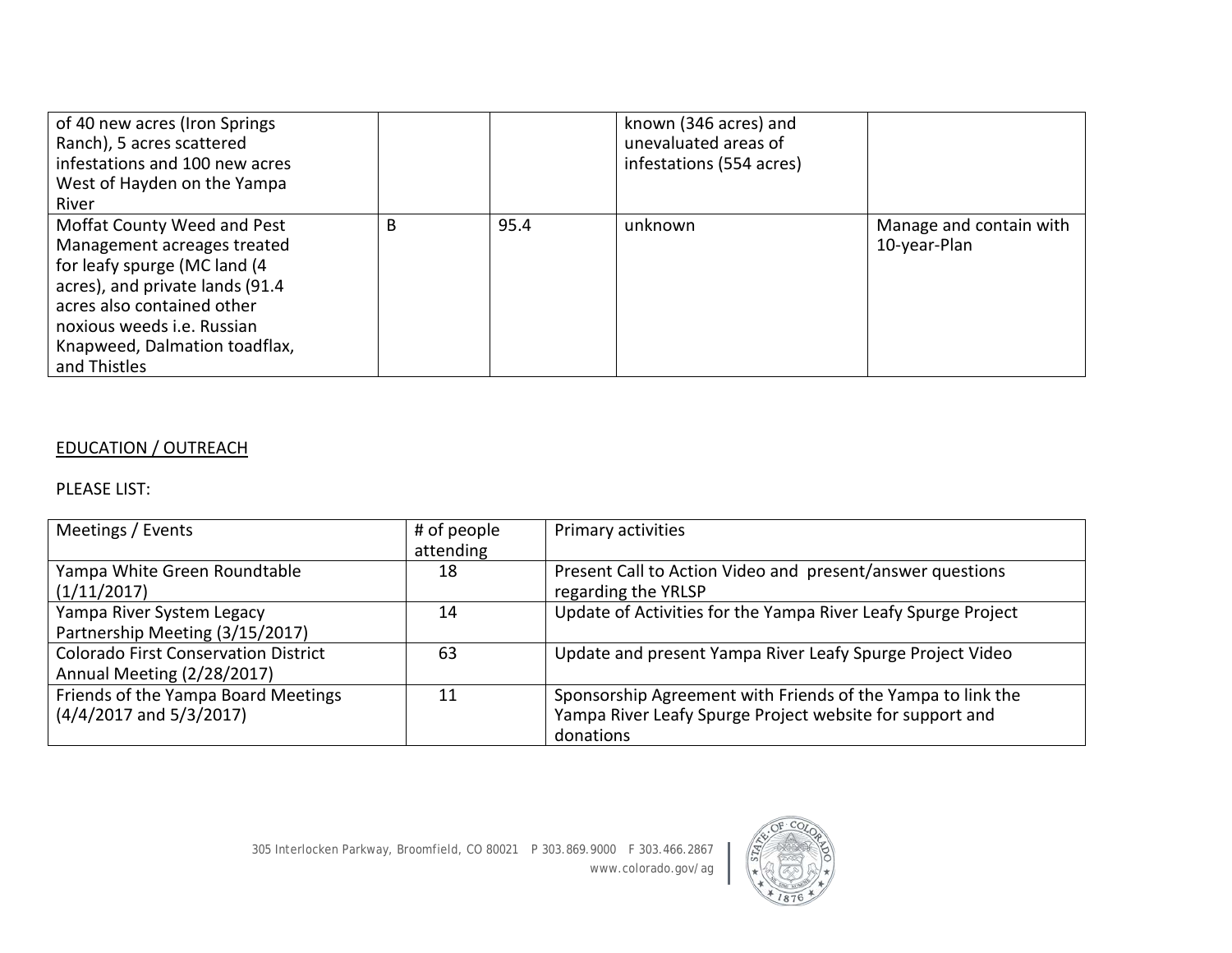| of 40 new acres (Iron Springs<br>Ranch), 5 acres scattered<br>infestations and 100 new acres<br>West of Hayden on the Yampa<br>River                                                                                                       |   |      | known (346 acres) and<br>unevaluated areas of<br>infestations (554 acres) |                                         |
|--------------------------------------------------------------------------------------------------------------------------------------------------------------------------------------------------------------------------------------------|---|------|---------------------------------------------------------------------------|-----------------------------------------|
| Moffat County Weed and Pest<br>Management acreages treated<br>for leafy spurge (MC land (4<br>acres), and private lands (91.4<br>acres also contained other<br>noxious weeds i.e. Russian<br>Knapweed, Dalmation toadflax,<br>and Thistles | B | 95.4 | unknown                                                                   | Manage and contain with<br>10-year-Plan |

# EDUCATION / OUTREACH

#### PLEASE LIST:

| Meetings / Events                                                         | # of people<br>attending | Primary activities                                                                                                                   |
|---------------------------------------------------------------------------|--------------------------|--------------------------------------------------------------------------------------------------------------------------------------|
| Yampa White Green Roundtable<br>(1/11/2017)                               | 18                       | Present Call to Action Video and present/answer questions<br>regarding the YRLSP                                                     |
| Yampa River System Legacy<br>Partnership Meeting (3/15/2017)              | 14                       | Update of Activities for the Yampa River Leafy Spurge Project                                                                        |
| <b>Colorado First Conservation District</b><br>Annual Meeting (2/28/2017) | 63                       | Update and present Yampa River Leafy Spurge Project Video                                                                            |
| Friends of the Yampa Board Meetings<br>$(4/4/2017$ and $5/3/2017)$        | 11                       | Sponsorship Agreement with Friends of the Yampa to link the<br>Yampa River Leafy Spurge Project website for support and<br>donations |

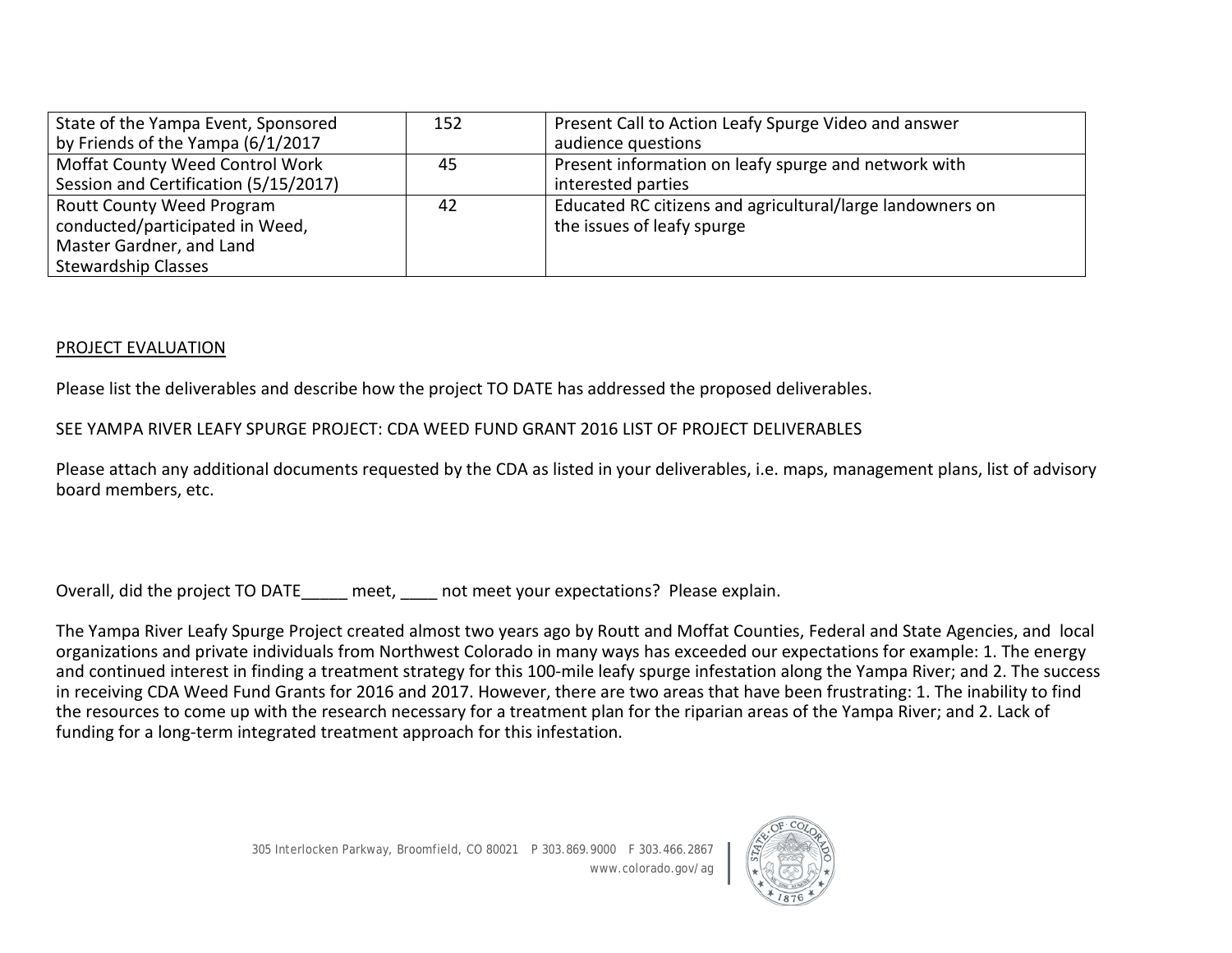| State of the Yampa Event, Sponsored   | 152 | Present Call to Action Leafy Spurge Video and answer      |
|---------------------------------------|-----|-----------------------------------------------------------|
| by Friends of the Yampa (6/1/2017     |     | audience questions                                        |
| Moffat County Weed Control Work       | 45  | Present information on leafy spurge and network with      |
| Session and Certification (5/15/2017) |     | interested parties                                        |
| <b>Routt County Weed Program</b>      | 42  | Educated RC citizens and agricultural/large landowners on |
| conducted/participated in Weed,       |     | the issues of leafy spurge                                |
| Master Gardner, and Land              |     |                                                           |
| <b>Stewardship Classes</b>            |     |                                                           |

#### PROJECT EVALUATION

Please list the deliverables and describe how the project TO DATE has addressed the proposed deliverables.

#### SEE YAMPA RIVER LEAFY SPURGE PROJECT: CDA WEED FUND GRANT 2016 LIST OF PROJECT DELIVERABLES

Please attach any additional documents requested by the CDA as listed in your deliverables, i.e. maps, management plans, list of advisory board members, etc.

Overall, did the project TO DATE\_\_\_\_\_ meet, \_\_\_\_ not meet your expectations? Please explain.

The Yampa River Leafy Spurge Project created almost two years ago by Routt and Moffat Counties, Federal and State Agencies, and local organizations and private individuals from Northwest Colorado in many ways has exceeded our expectations for example: 1. The energy and continued interest in finding a treatment strategy for this 100-mile leafy spurge infestation along the Yampa River; and 2. The success in receiving CDA Weed Fund Grants for 2016 and 2017. However, there are two areas that have been frustrating: 1. The inability to find the resources to come up with the research necessary for a treatment plan for the riparian areas of the Yampa River; and 2. Lack of funding for a long-term integrated treatment approach for this infestation.

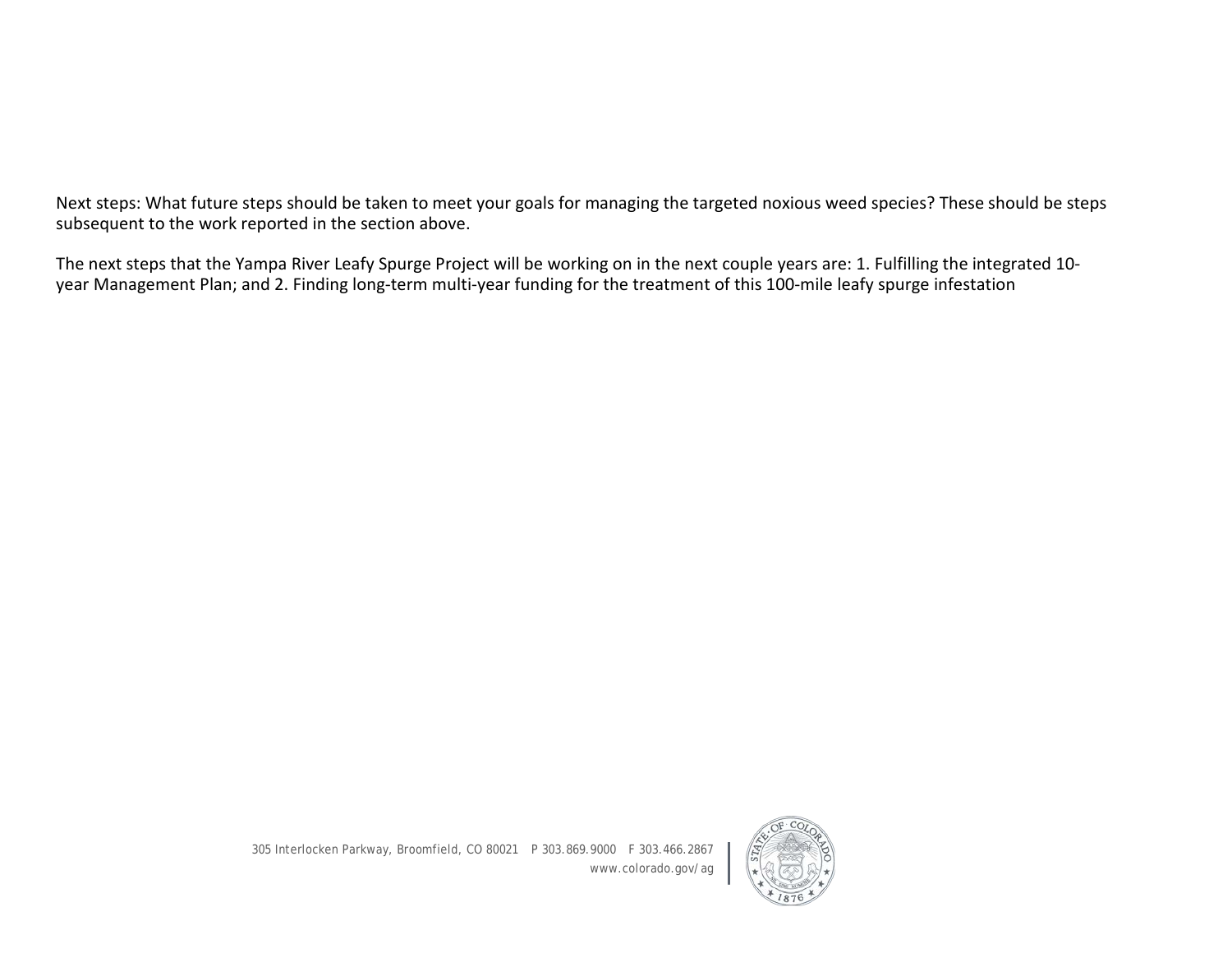Next steps: What future steps should be taken to meet your goals for managing the targeted noxious weed species? These should be steps subsequent to the work reported in the section above.

The next steps that the Yampa River Leafy Spurge Project will be working on in the next couple years are: 1. Fulfilling the integrated 10 year Management Plan; and 2. Finding long-term multi-year funding for the treatment of this 100-mile leafy spurge infestation

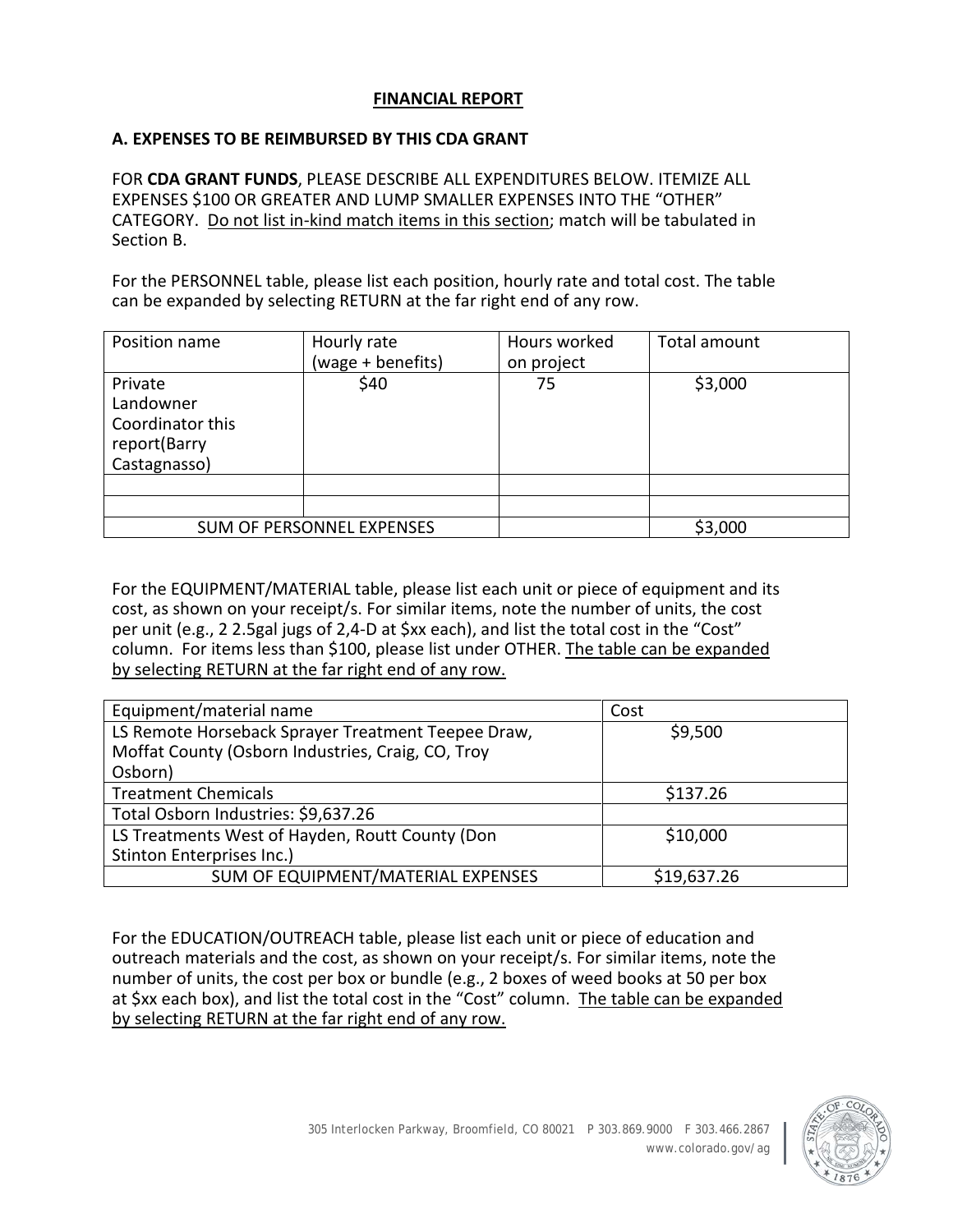## **FINANCIAL REPORT**

#### **A. EXPENSES TO BE REIMBURSED BY THIS CDA GRANT**

FOR **CDA GRANT FUNDS**, PLEASE DESCRIBE ALL EXPENDITURES BELOW. ITEMIZE ALL EXPENSES \$100 OR GREATER AND LUMP SMALLER EXPENSES INTO THE "OTHER" CATEGORY. Do not list in-kind match items in this section; match will be tabulated in Section B.

For the PERSONNEL table, please list each position, hourly rate and total cost. The table can be expanded by selecting RETURN at the far right end of any row.

| Position name                                                            | Hourly rate<br>(wage + benefits) | Hours worked<br>on project | Total amount |
|--------------------------------------------------------------------------|----------------------------------|----------------------------|--------------|
| Private<br>Landowner<br>Coordinator this<br>report(Barry<br>Castagnasso) | \$40                             | 75                         | \$3,000      |
|                                                                          |                                  |                            |              |
|                                                                          |                                  |                            |              |
|                                                                          | <b>SUM OF PERSONNEL EXPENSES</b> |                            | \$3,000      |

For the EQUIPMENT/MATERIAL table, please list each unit or piece of equipment and its cost, as shown on your receipt/s. For similar items, note the number of units, the cost per unit (e.g., 2 2.5gal jugs of 2,4-D at \$xx each), and list the total cost in the "Cost" column. For items less than \$100, please list under OTHER. The table can be expanded by selecting RETURN at the far right end of any row.

| Equipment/material name                            | Cost        |
|----------------------------------------------------|-------------|
| LS Remote Horseback Sprayer Treatment Teepee Draw, | \$9,500     |
| Moffat County (Osborn Industries, Craig, CO, Troy  |             |
| Osborn)                                            |             |
| <b>Treatment Chemicals</b>                         | \$137.26    |
| Total Osborn Industries: \$9,637.26                |             |
| LS Treatments West of Hayden, Routt County (Don    | \$10,000    |
| Stinton Enterprises Inc.)                          |             |
| SUM OF EQUIPMENT/MATERIAL EXPENSES                 | \$19,637.26 |

For the EDUCATION/OUTREACH table, please list each unit or piece of education and outreach materials and the cost, as shown on your receipt/s. For similar items, note the number of units, the cost per box or bundle (e.g., 2 boxes of weed books at 50 per box at \$xx each box), and list the total cost in the "Cost" column. The table can be expanded by selecting RETURN at the far right end of any row.

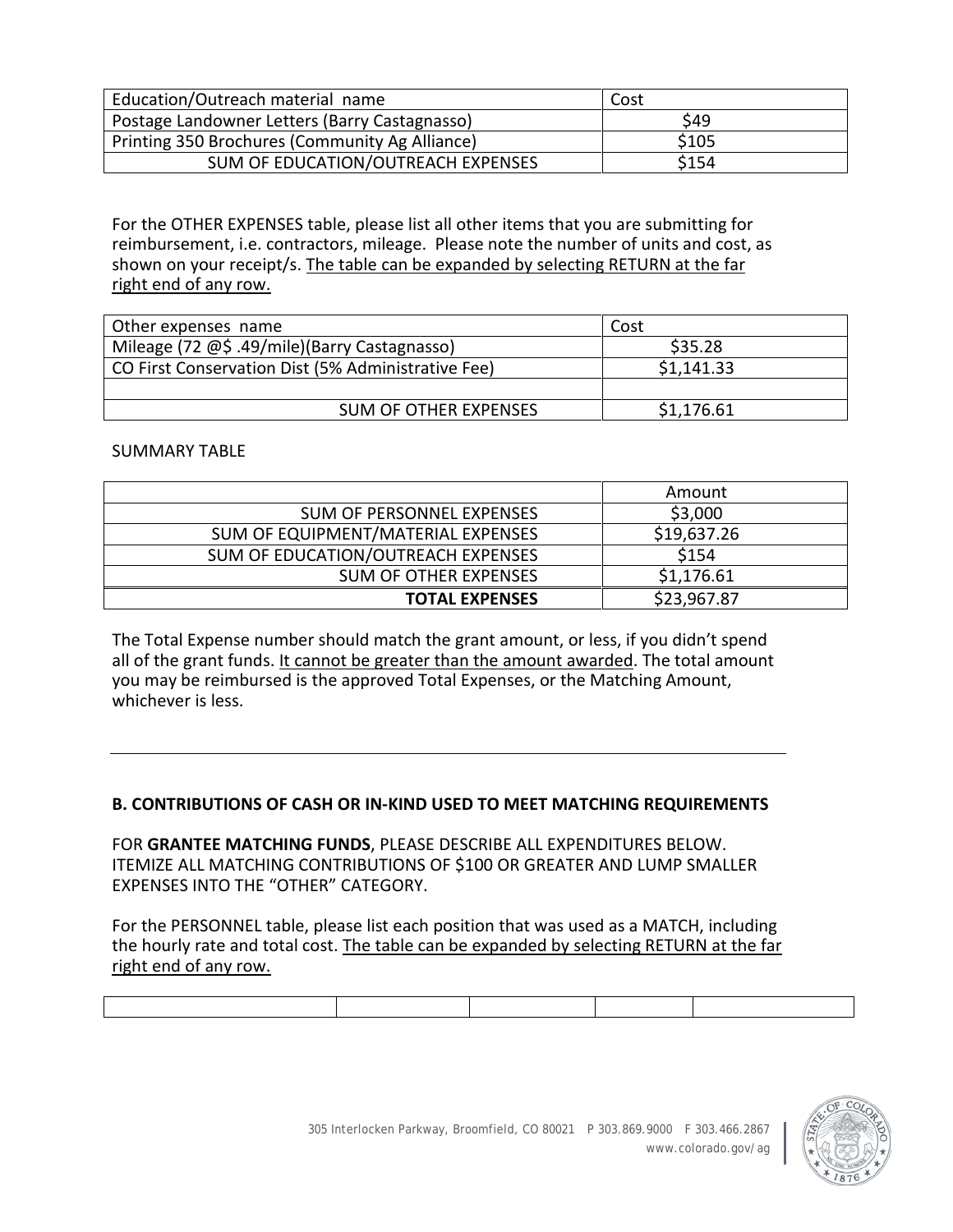| Education/Outreach material name               | Cost  |
|------------------------------------------------|-------|
| Postage Landowner Letters (Barry Castagnasso)  | \$49  |
| Printing 350 Brochures (Community Ag Alliance) | \$105 |
| SUM OF EDUCATION/OUTREACH EXPENSES             | \$154 |

For the OTHER EXPENSES table, please list all other items that you are submitting for reimbursement, i.e. contractors, mileage. Please note the number of units and cost, as shown on your receipt/s. The table can be expanded by selecting RETURN at the far right end of any row.

| Other expenses name                                | Cost       |
|----------------------------------------------------|------------|
| Mileage (72 @\$ .49/mile)(Barry Castagnasso)       | \$35.28    |
| CO First Conservation Dist (5% Administrative Fee) | \$1,141.33 |
|                                                    |            |
| <b>SUM OF OTHER EXPENSES</b>                       | \$1,176.61 |

#### SUMMARY TABLE

|                                    | Amount      |
|------------------------------------|-------------|
| SUM OF PERSONNEL EXPENSES          | \$3,000     |
| SUM OF EQUIPMENT/MATERIAL EXPENSES | \$19,637.26 |
| SUM OF EDUCATION/OUTREACH EXPENSES | \$154       |
| <b>SUM OF OTHER EXPENSES</b>       | \$1,176.61  |
| <b>TOTAL EXPENSES</b>              | \$23,967.87 |

The Total Expense number should match the grant amount, or less, if you didn't spend all of the grant funds. It cannot be greater than the amount awarded. The total amount you may be reimbursed is the approved Total Expenses, or the Matching Amount, whichever is less.

#### **B. CONTRIBUTIONS OF CASH OR IN-KIND USED TO MEET MATCHING REQUIREMENTS**

FOR **GRANTEE MATCHING FUNDS**, PLEASE DESCRIBE ALL EXPENDITURES BELOW. ITEMIZE ALL MATCHING CONTRIBUTIONS OF \$100 OR GREATER AND LUMP SMALLER EXPENSES INTO THE "OTHER" CATEGORY.

For the PERSONNEL table, please list each position that was used as a MATCH, including the hourly rate and total cost. The table can be expanded by selecting RETURN at the far right end of any row.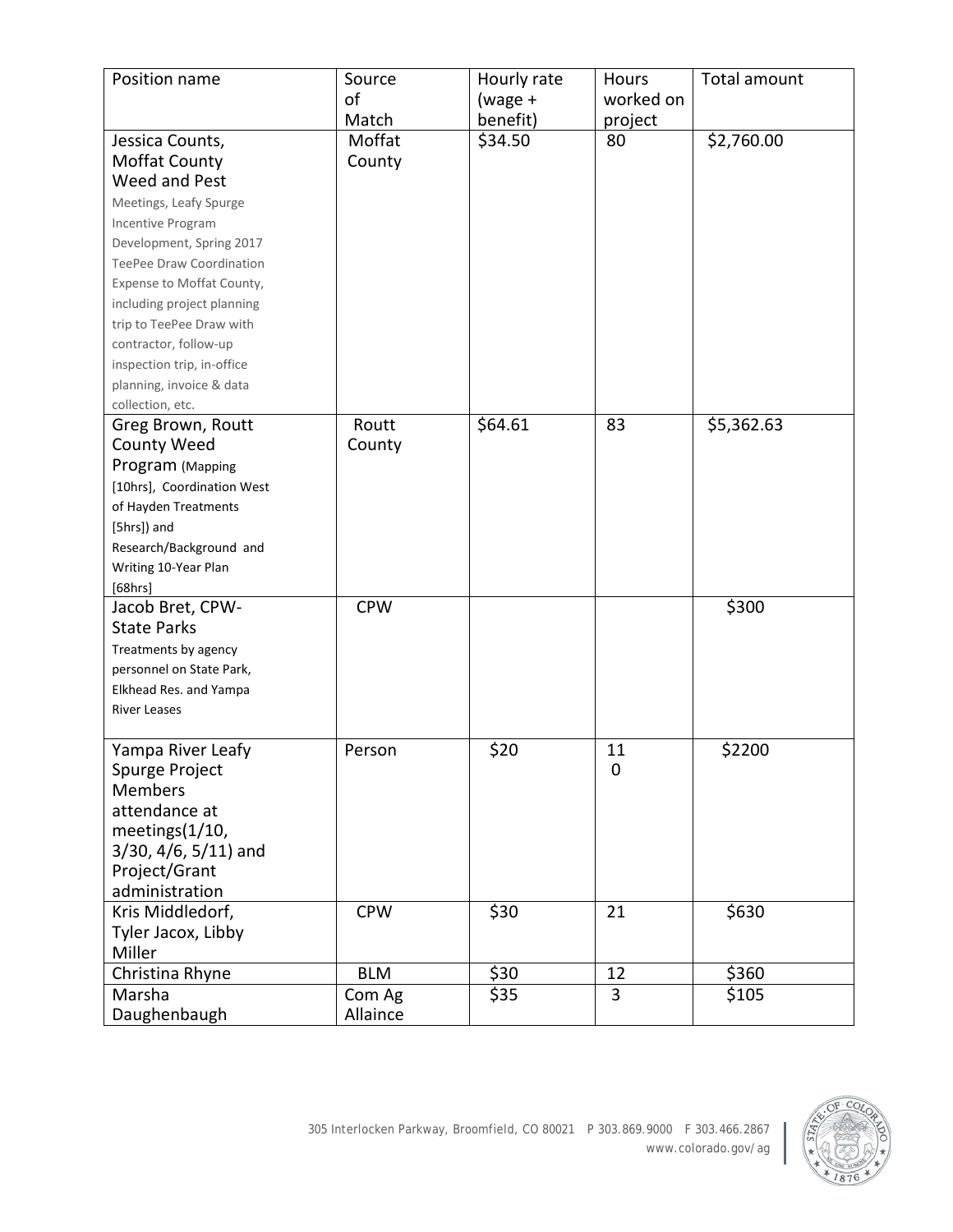| Position name                 | Source     | Hourly rate | Hours       | Total amount |
|-------------------------------|------------|-------------|-------------|--------------|
|                               | of         | (wage +     | worked on   |              |
|                               | Match      | benefit)    | project     |              |
| Jessica Counts,               | Moffat     | \$34.50     | 80          | \$2,760.00   |
| Moffat County                 | County     |             |             |              |
| Weed and Pest                 |            |             |             |              |
| Meetings, Leafy Spurge        |            |             |             |              |
| Incentive Program             |            |             |             |              |
| Development, Spring 2017      |            |             |             |              |
| TeePee Draw Coordination      |            |             |             |              |
| Expense to Moffat County,     |            |             |             |              |
| including project planning    |            |             |             |              |
| trip to TeePee Draw with      |            |             |             |              |
| contractor, follow-up         |            |             |             |              |
| inspection trip, in-office    |            |             |             |              |
| planning, invoice & data      |            |             |             |              |
| collection, etc.              |            |             |             |              |
| Greg Brown, Routt             | Routt      | \$64.61     | 83          | \$5,362.63   |
| <b>County Weed</b>            | County     |             |             |              |
| Program (Mapping              |            |             |             |              |
| [10hrs], Coordination West    |            |             |             |              |
| of Hayden Treatments          |            |             |             |              |
| [5hrs]) and                   |            |             |             |              |
| Research/Background and       |            |             |             |              |
| Writing 10-Year Plan          |            |             |             |              |
| [68hrs]                       |            |             |             |              |
| Jacob Bret, CPW-              | <b>CPW</b> |             |             | \$300        |
| <b>State Parks</b>            |            |             |             |              |
| Treatments by agency          |            |             |             |              |
| personnel on State Park,      |            |             |             |              |
| Elkhead Res. and Yampa        |            |             |             |              |
| <b>River Leases</b>           |            |             |             |              |
|                               |            |             |             |              |
| Yampa River Leafy             | Person     | \$20        | 11          | \$2200       |
| Spurge Project                |            |             | $\mathbf 0$ |              |
| <b>Members</b>                |            |             |             |              |
| attendance at                 |            |             |             |              |
| meetings(1/10,                |            |             |             |              |
| $3/30$ , $4/6$ , $5/11$ ) and |            |             |             |              |
| Project/Grant                 |            |             |             |              |
| administration                |            |             |             |              |
| Kris Middledorf,              | <b>CPW</b> | \$30        | 21          | \$630        |
| Tyler Jacox, Libby            |            |             |             |              |
| Miller                        |            |             |             |              |
| Christina Rhyne               | <b>BLM</b> | \$30        | 12          | \$360        |
| Marsha                        | Com Ag     | \$35        | 3           | \$105        |
| Daughenbaugh                  | Allaince   |             |             |              |

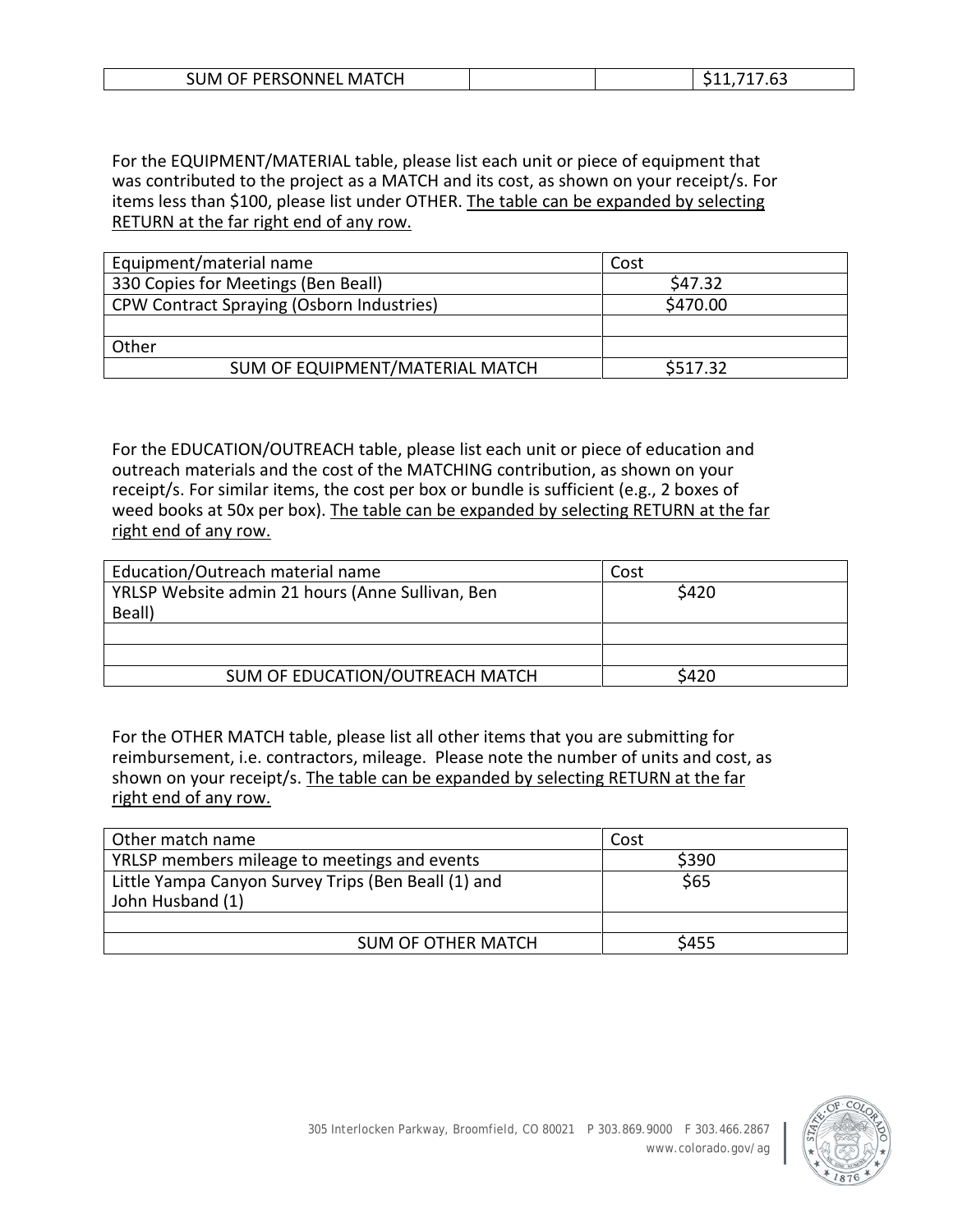| OF PERSONNEL<br><b>MATCH</b><br>3UM. |  | , ,<br>د . |
|--------------------------------------|--|------------|
|                                      |  |            |

For the EQUIPMENT/MATERIAL table, please list each unit or piece of equipment that was contributed to the project as a MATCH and its cost, as shown on your receipt/s. For items less than \$100, please list under OTHER. The table can be expanded by selecting RETURN at the far right end of any row.

| Equipment/material name                          | Cost     |
|--------------------------------------------------|----------|
| 330 Copies for Meetings (Ben Beall)              | \$47.32  |
| <b>CPW Contract Spraying (Osborn Industries)</b> | \$470.00 |
|                                                  |          |
| Other                                            |          |
| SUM OF EQUIPMENT/MATERIAL MATCH                  | \$517.32 |

For the EDUCATION/OUTREACH table, please list each unit or piece of education and outreach materials and the cost of the MATCHING contribution, as shown on your receipt/s. For similar items, the cost per box or bundle is sufficient (e.g., 2 boxes of weed books at 50x per box). The table can be expanded by selecting RETURN at the far right end of any row.

| Education/Outreach material name                 | Cost  |
|--------------------------------------------------|-------|
| YRLSP Website admin 21 hours (Anne Sullivan, Ben | \$420 |
| Beall)                                           |       |
|                                                  |       |
|                                                  |       |
| SUM OF EDUCATION/OUTREACH MATCH                  | S420  |

For the OTHER MATCH table, please list all other items that you are submitting for reimbursement, i.e. contractors, mileage. Please note the number of units and cost, as shown on your receipt/s. The table can be expanded by selecting RETURN at the far right end of any row.

| Other match name                                                        | Cost  |
|-------------------------------------------------------------------------|-------|
| YRLSP members mileage to meetings and events                            | \$390 |
| Little Yampa Canyon Survey Trips (Ben Beall (1) and<br>John Husband (1) | \$65  |
|                                                                         |       |
| <b>SUM OF OTHER MATCH</b>                                               | \$455 |